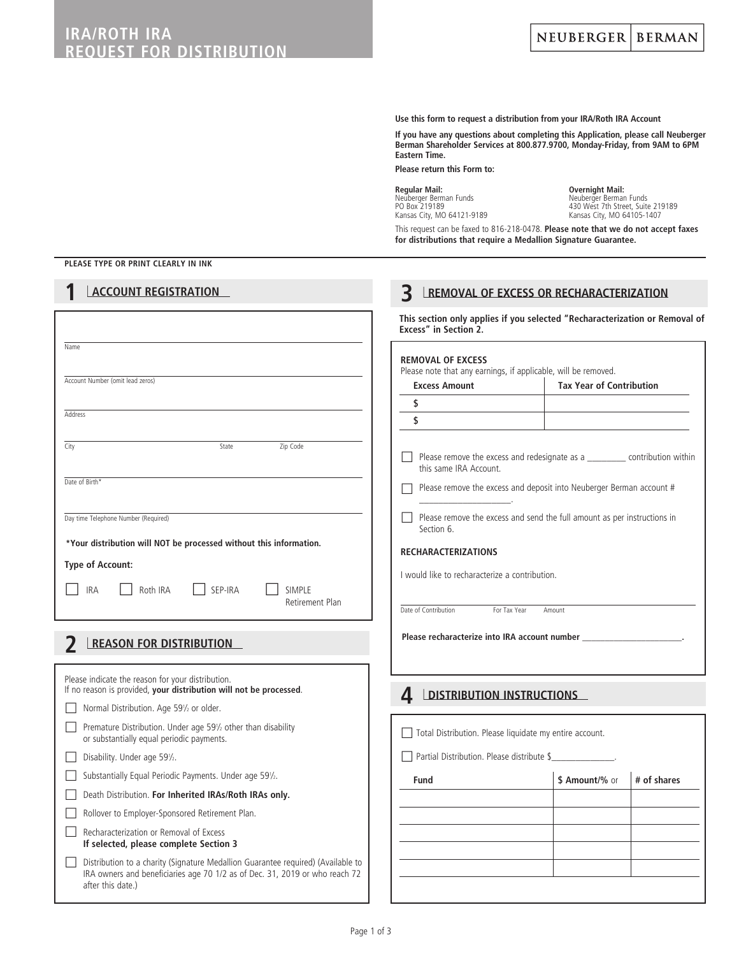# **IRA/ROTH IRA REQUEST FOR DISTRIBUTION**

**Use this form to request a distribution from your IRA/Roth IRA Account**

**If you have any questions about completing this Application, please call Neuberger Berman Shareholder Services at 800.877.9700, Monday-Friday, from 9AM to 6PM Eastern Time.**

**Please return this Form to:**

**Regular Mail:**<br>
Neuberger Berman Funds<br>
PO Box 219189

Neuberger Berman Funds Neuberger Berman Funds PO Box 219189 430 West 7th Street, Suite 219189 Kansas City, MO 64121-9189 Kansas City, MO 64105-1407

This request can be faxed to 816-218-0478. **Please note that we do not accept faxes for distributions that require a Medallion Signature Guarantee.**

**3** <sup>l</sup> **REMOVAL OF EXCESS OR RECHARACTERIZATION**

### **PLEASE TYPE OR PRINT CLEARLY IN INK**

### **1** <sup>l</sup> **ACCOUNT REGISTRATION**

|                                                                                                                                                                                      | Excess" in Section 2.                                                                      | This section only applies if you selected "Recharacterization or Removal of     |
|--------------------------------------------------------------------------------------------------------------------------------------------------------------------------------------|--------------------------------------------------------------------------------------------|---------------------------------------------------------------------------------|
| Name                                                                                                                                                                                 | <b>REMOVAL OF EXCESS</b><br>Please note that any earnings, if applicable, will be removed. |                                                                                 |
| Account Number (omit lead zeros)                                                                                                                                                     | <b>Excess Amount</b>                                                                       | <b>Tax Year of Contribution</b>                                                 |
|                                                                                                                                                                                      | \$                                                                                         |                                                                                 |
| Address                                                                                                                                                                              | \$                                                                                         |                                                                                 |
| Zip Code<br>City<br>State                                                                                                                                                            | this same IRA Account.                                                                     | Please remove the excess and redesignate as a ___________ contribution within   |
| Date of Birth*                                                                                                                                                                       |                                                                                            | Please remove the excess and deposit into Neuberger Berman account #            |
| Day time Telephone Number (Required)                                                                                                                                                 | Section 6.                                                                                 | $\Box$ Please remove the excess and send the full amount as per instructions in |
| *Your distribution will NOT be processed without this information.                                                                                                                   | <b>RECHARACTERIZATIONS</b>                                                                 |                                                                                 |
| <b>Type of Account:</b>                                                                                                                                                              | I would like to recharacterize a contribution.                                             |                                                                                 |
| <b>IRA</b><br>Roth IRA<br>SEP-IRA<br><b>SIMPLE</b>                                                                                                                                   |                                                                                            |                                                                                 |
| Retirement Plan                                                                                                                                                                      | Date of Contribution<br>For Tax Year                                                       | Amount                                                                          |
| <b>REASON FOR DISTRIBUTION</b>                                                                                                                                                       | Please recharacterize into IRA account number                                              |                                                                                 |
| Please indicate the reason for your distribution.<br>If no reason is provided, your distribution will not be processed.                                                              | <b>DISTRIBUTION INSTRUCTIONS</b><br>4                                                      |                                                                                 |
| Normal Distribution. Age 591/2 or older.                                                                                                                                             |                                                                                            |                                                                                 |
| Premature Distribution. Under age 591/2 other than disability<br>or substantially equal periodic payments.                                                                           | Total Distribution. Please liquidate my entire account.                                    |                                                                                 |
| Disability. Under age 591/2.                                                                                                                                                         | Partial Distribution. Please distribute \$                                                 |                                                                                 |
| Substantially Equal Periodic Payments. Under age 591/2.                                                                                                                              | Fund                                                                                       | \$ Amount/% or<br># of shares                                                   |
| Death Distribution. For Inherited IRAs/Roth IRAs only.                                                                                                                               |                                                                                            |                                                                                 |
| Rollover to Employer-Sponsored Retirement Plan.                                                                                                                                      |                                                                                            |                                                                                 |
| Recharacterization or Removal of Excess<br>If selected, please complete Section 3                                                                                                    |                                                                                            |                                                                                 |
| Distribution to a charity (Signature Medallion Guarantee required) (Available to<br>IRA owners and beneficiaries age 70 1/2 as of Dec. 31, 2019 or who reach 72<br>after this date.) |                                                                                            |                                                                                 |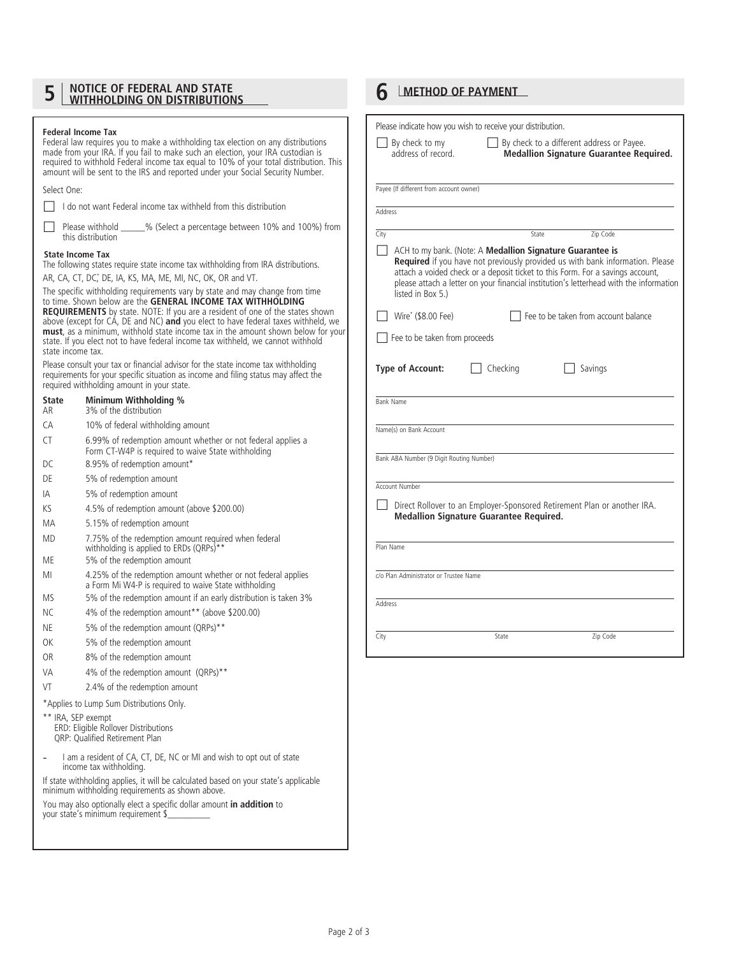# **5 MOTICE OF FEDERAL AND STATE 6 6 METHOD OF PAYMENT**

**Federal Income Tax** 

|                   | Federal law requires you to make a withholding tax election on any distributions<br>made from your IRA. If you fail to make such an election, your IRA custodian is<br>required to withhold Federal income tax equal to 10% of your total distribution. This<br>amount will be sent to the IRS and reported under your Social Security Number.                                                                                                                                                         |
|-------------------|--------------------------------------------------------------------------------------------------------------------------------------------------------------------------------------------------------------------------------------------------------------------------------------------------------------------------------------------------------------------------------------------------------------------------------------------------------------------------------------------------------|
| Select One:       |                                                                                                                                                                                                                                                                                                                                                                                                                                                                                                        |
|                   | I do not want Federal income tax withheld from this distribution                                                                                                                                                                                                                                                                                                                                                                                                                                       |
|                   | Please withhold _______% (Select a percentage between 10% and 100%) from<br>this distribution                                                                                                                                                                                                                                                                                                                                                                                                          |
|                   | <b>State Income Tax</b><br>The following states require state income tax withholding from IRA distributions.                                                                                                                                                                                                                                                                                                                                                                                           |
|                   | AR, CA, CT, DC, DE, IA, KS, MA, ME, MI, NC, OK, OR and VT.                                                                                                                                                                                                                                                                                                                                                                                                                                             |
| state income tax. | The specific withholding requirements vary by state and may change from time<br>to time. Shown below are the GENERAL INCOME TAX WITHHOLDING<br><b>REQUIREMENTS</b> by state. NOTE: If you are a resident of one of the states shown<br>above (except for CA, DE and NC) <b>and</b> you elect to have federal taxes withheld, we<br>must, as a minimum, withhold state income tax in the amount shown below for your<br>state. If you elect not to have federal income tax withheld, we cannot withhold |
|                   | Please consult your tax or financial advisor for the state income tax withholding<br>requirements for your specific situation as income and filing status may affect the<br>required withholding amount in your state.                                                                                                                                                                                                                                                                                 |
| State<br>AR       | Minimum Withholding %<br>3% of the distribution                                                                                                                                                                                                                                                                                                                                                                                                                                                        |
| CA                | 10% of federal withholding amount                                                                                                                                                                                                                                                                                                                                                                                                                                                                      |
| CT                | 6.99% of redemption amount whether or not federal applies a<br>Form CT-W4P is required to waive State withholding                                                                                                                                                                                                                                                                                                                                                                                      |
| DC.               | 8.95% of redemption amount*                                                                                                                                                                                                                                                                                                                                                                                                                                                                            |
| DE                | 5% of redemption amount                                                                                                                                                                                                                                                                                                                                                                                                                                                                                |
| IA                | 5% of redemption amount                                                                                                                                                                                                                                                                                                                                                                                                                                                                                |
| ΚS                | 4.5% of redemption amount (above \$200.00)                                                                                                                                                                                                                                                                                                                                                                                                                                                             |
| МA                | 5.15% of redemption amount                                                                                                                                                                                                                                                                                                                                                                                                                                                                             |
| <b>MD</b>         | 7.75% of the redemption amount required when federal<br>withholding is applied to ERDs (QRPs)**                                                                                                                                                                                                                                                                                                                                                                                                        |
| ME                | 5% of the redemption amount                                                                                                                                                                                                                                                                                                                                                                                                                                                                            |
| MI                | 4.25% of the redemption amount whether or not federal applies<br>a Form Mi W4-P is required to waive State withholding                                                                                                                                                                                                                                                                                                                                                                                 |
| MS                | 5% of the redemption amount if an early distribution is taken 3%                                                                                                                                                                                                                                                                                                                                                                                                                                       |
| NС                | 4% of the redemption amount** (above \$200.00)<br>5% of the redemption amount (QRPs)**                                                                                                                                                                                                                                                                                                                                                                                                                 |
| NE<br>OK          |                                                                                                                                                                                                                                                                                                                                                                                                                                                                                                        |
| <b>OR</b>         | 5% of the redemption amount<br>8% of the redemption amount                                                                                                                                                                                                                                                                                                                                                                                                                                             |
| VA                | 4% of the redemption amount (QRPs)**                                                                                                                                                                                                                                                                                                                                                                                                                                                                   |
| VT                | 2.4% of the redemption amount                                                                                                                                                                                                                                                                                                                                                                                                                                                                          |
|                   | *Applies to Lump Sum Distributions Only.                                                                                                                                                                                                                                                                                                                                                                                                                                                               |
|                   | ** IRA, SEP exempt<br>ERD: Eligible Rollover Distributions<br><b>QRP: Qualified Retirement Plan</b>                                                                                                                                                                                                                                                                                                                                                                                                    |
|                   | I am a resident of CA, CT, DE, NC or MI and wish to opt out of state<br>income tax withholding.                                                                                                                                                                                                                                                                                                                                                                                                        |
|                   | If state withholding applies, it will be calculated based on your state's applicable<br>minimum withholding requirements as shown above.                                                                                                                                                                                                                                                                                                                                                               |
|                   | You may also optionally elect a specific dollar amount in addition to<br>your state's minimum requirement \$                                                                                                                                                                                                                                                                                                                                                                                           |

| address of record.<br>Payee (If different from account owner)<br><b>Address</b><br>City<br>Zip Code<br>State<br>ACH to my bank. (Note: A Medallion Signature Guarantee is<br>$\mathsf{L}$<br>listed in Box 5.)<br>  Wire <sup>*</sup> (\$8.00 Fee)<br>  Fee to be taken from account balance<br>$\Box$ Fee to be taken from proceeds<br><b>Type of Account:</b>     Checking<br>  Savings<br><b>Bank Name</b><br>Name(s) on Bank Account<br>Bank ABA Number (9 Digit Routing Number)<br>Account Number<br><b>Medallion Signature Guarantee Required.</b><br>Plan Name<br>c/o Plan Administrator or Trustee Name<br>Address<br>City<br>Zip Code<br>State | <b>Medallion Signature Guarantee Required.</b><br>Required if you have not previously provided us with bank information. Please<br>attach a voided check or a deposit ticket to this Form. For a savings account,<br>please attach a letter on your financial institution's letterhead with the information<br>Direct Rollover to an Employer-Sponsored Retirement Plan or another IRA. | $\Box$ By check to my | $\Box$ By check to a different address or Payee. |  |
|---------------------------------------------------------------------------------------------------------------------------------------------------------------------------------------------------------------------------------------------------------------------------------------------------------------------------------------------------------------------------------------------------------------------------------------------------------------------------------------------------------------------------------------------------------------------------------------------------------------------------------------------------------|-----------------------------------------------------------------------------------------------------------------------------------------------------------------------------------------------------------------------------------------------------------------------------------------------------------------------------------------------------------------------------------------|-----------------------|--------------------------------------------------|--|
|                                                                                                                                                                                                                                                                                                                                                                                                                                                                                                                                                                                                                                                         |                                                                                                                                                                                                                                                                                                                                                                                         |                       |                                                  |  |
|                                                                                                                                                                                                                                                                                                                                                                                                                                                                                                                                                                                                                                                         |                                                                                                                                                                                                                                                                                                                                                                                         |                       |                                                  |  |
|                                                                                                                                                                                                                                                                                                                                                                                                                                                                                                                                                                                                                                                         |                                                                                                                                                                                                                                                                                                                                                                                         |                       |                                                  |  |
|                                                                                                                                                                                                                                                                                                                                                                                                                                                                                                                                                                                                                                                         |                                                                                                                                                                                                                                                                                                                                                                                         |                       |                                                  |  |
|                                                                                                                                                                                                                                                                                                                                                                                                                                                                                                                                                                                                                                                         |                                                                                                                                                                                                                                                                                                                                                                                         |                       |                                                  |  |
|                                                                                                                                                                                                                                                                                                                                                                                                                                                                                                                                                                                                                                                         |                                                                                                                                                                                                                                                                                                                                                                                         |                       |                                                  |  |
|                                                                                                                                                                                                                                                                                                                                                                                                                                                                                                                                                                                                                                                         |                                                                                                                                                                                                                                                                                                                                                                                         |                       |                                                  |  |
|                                                                                                                                                                                                                                                                                                                                                                                                                                                                                                                                                                                                                                                         |                                                                                                                                                                                                                                                                                                                                                                                         |                       |                                                  |  |
|                                                                                                                                                                                                                                                                                                                                                                                                                                                                                                                                                                                                                                                         |                                                                                                                                                                                                                                                                                                                                                                                         |                       |                                                  |  |
|                                                                                                                                                                                                                                                                                                                                                                                                                                                                                                                                                                                                                                                         |                                                                                                                                                                                                                                                                                                                                                                                         |                       |                                                  |  |
|                                                                                                                                                                                                                                                                                                                                                                                                                                                                                                                                                                                                                                                         |                                                                                                                                                                                                                                                                                                                                                                                         |                       |                                                  |  |
|                                                                                                                                                                                                                                                                                                                                                                                                                                                                                                                                                                                                                                                         |                                                                                                                                                                                                                                                                                                                                                                                         |                       |                                                  |  |
|                                                                                                                                                                                                                                                                                                                                                                                                                                                                                                                                                                                                                                                         |                                                                                                                                                                                                                                                                                                                                                                                         |                       |                                                  |  |
|                                                                                                                                                                                                                                                                                                                                                                                                                                                                                                                                                                                                                                                         |                                                                                                                                                                                                                                                                                                                                                                                         |                       |                                                  |  |
|                                                                                                                                                                                                                                                                                                                                                                                                                                                                                                                                                                                                                                                         |                                                                                                                                                                                                                                                                                                                                                                                         |                       |                                                  |  |
|                                                                                                                                                                                                                                                                                                                                                                                                                                                                                                                                                                                                                                                         |                                                                                                                                                                                                                                                                                                                                                                                         |                       |                                                  |  |
|                                                                                                                                                                                                                                                                                                                                                                                                                                                                                                                                                                                                                                                         |                                                                                                                                                                                                                                                                                                                                                                                         |                       |                                                  |  |
|                                                                                                                                                                                                                                                                                                                                                                                                                                                                                                                                                                                                                                                         |                                                                                                                                                                                                                                                                                                                                                                                         |                       |                                                  |  |
|                                                                                                                                                                                                                                                                                                                                                                                                                                                                                                                                                                                                                                                         |                                                                                                                                                                                                                                                                                                                                                                                         |                       |                                                  |  |
|                                                                                                                                                                                                                                                                                                                                                                                                                                                                                                                                                                                                                                                         |                                                                                                                                                                                                                                                                                                                                                                                         |                       |                                                  |  |
|                                                                                                                                                                                                                                                                                                                                                                                                                                                                                                                                                                                                                                                         |                                                                                                                                                                                                                                                                                                                                                                                         |                       |                                                  |  |
|                                                                                                                                                                                                                                                                                                                                                                                                                                                                                                                                                                                                                                                         |                                                                                                                                                                                                                                                                                                                                                                                         |                       |                                                  |  |
|                                                                                                                                                                                                                                                                                                                                                                                                                                                                                                                                                                                                                                                         |                                                                                                                                                                                                                                                                                                                                                                                         |                       |                                                  |  |
|                                                                                                                                                                                                                                                                                                                                                                                                                                                                                                                                                                                                                                                         |                                                                                                                                                                                                                                                                                                                                                                                         |                       |                                                  |  |
|                                                                                                                                                                                                                                                                                                                                                                                                                                                                                                                                                                                                                                                         |                                                                                                                                                                                                                                                                                                                                                                                         |                       |                                                  |  |
|                                                                                                                                                                                                                                                                                                                                                                                                                                                                                                                                                                                                                                                         |                                                                                                                                                                                                                                                                                                                                                                                         |                       |                                                  |  |
|                                                                                                                                                                                                                                                                                                                                                                                                                                                                                                                                                                                                                                                         |                                                                                                                                                                                                                                                                                                                                                                                         |                       |                                                  |  |
|                                                                                                                                                                                                                                                                                                                                                                                                                                                                                                                                                                                                                                                         |                                                                                                                                                                                                                                                                                                                                                                                         |                       |                                                  |  |